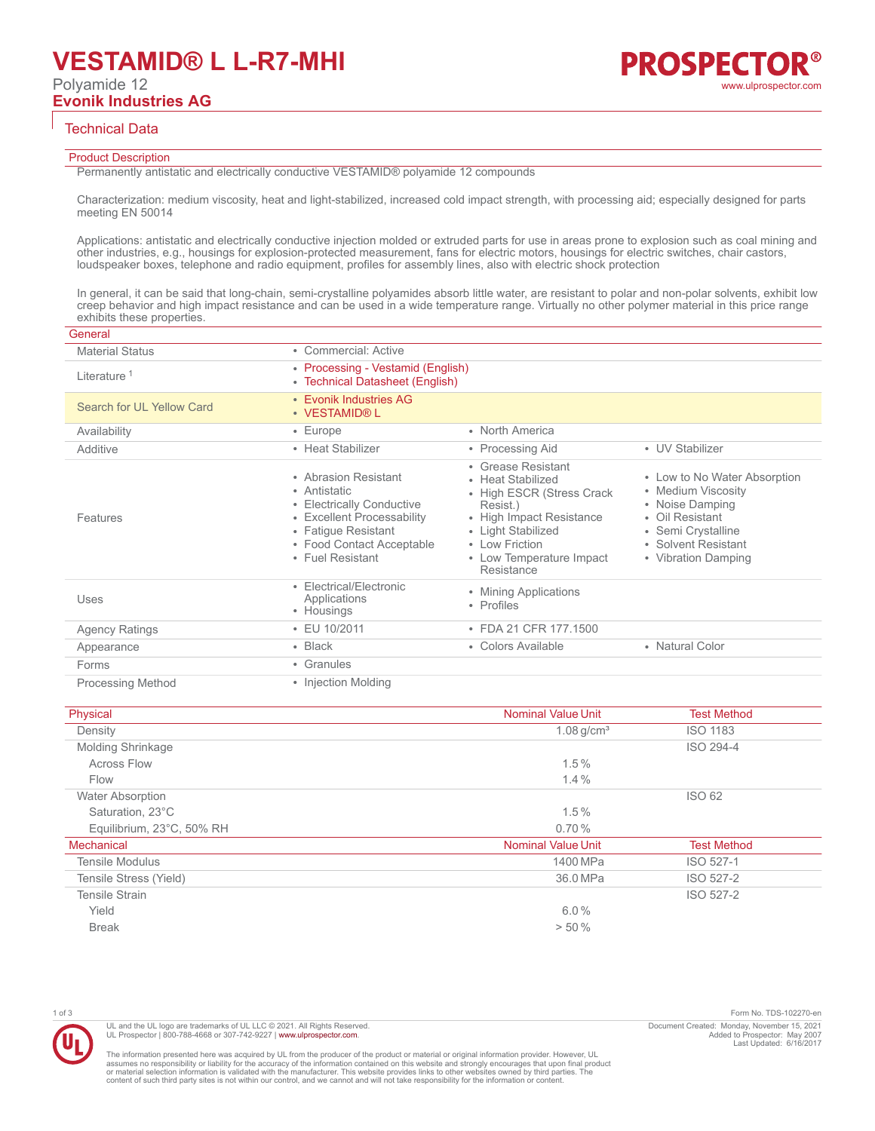#### Technical Data

#### Product Description

Permanently antistatic and electrically conductive VESTAMID® polyamide 12 compounds

Characterization: medium viscosity, heat and light-stabilized, increased cold impact strength, with processing aid; especially designed for parts meeting EN 50014

Applications: antistatic and electrically conductive injection molded or extruded parts for use in areas prone to explosion such as coal mining and other industries, e.g., housings for explosion-protected measurement, fans for electric motors, housings for electric switches, chair castors, loudspeaker boxes, telephone and radio equipment, profiles for assembly lines, also with electric shock protection

In general, it can be said that long-chain, semi-crystalline polyamides absorb little water, are resistant to polar and non-polar solvents, exhibit low creep behavior and high impact resistance and can be used in a wide temperature range. Virtually no other polymer material in this price range exhibits these properties.

| General                   |                                                                                                                                                                         |                                                                                                                                                                                                 |                                                                                                                                                              |
|---------------------------|-------------------------------------------------------------------------------------------------------------------------------------------------------------------------|-------------------------------------------------------------------------------------------------------------------------------------------------------------------------------------------------|--------------------------------------------------------------------------------------------------------------------------------------------------------------|
| <b>Material Status</b>    | • Commercial: Active                                                                                                                                                    |                                                                                                                                                                                                 |                                                                                                                                                              |
| Literature <sup>1</sup>   | • Processing - Vestamid (English)<br>• Technical Datasheet (English)                                                                                                    |                                                                                                                                                                                                 |                                                                                                                                                              |
| Search for UL Yellow Card | • Evonik Industries AG<br>• VESTAMID® L                                                                                                                                 |                                                                                                                                                                                                 |                                                                                                                                                              |
| Availability              | $\cdot$ Europe                                                                                                                                                          | • North America                                                                                                                                                                                 |                                                                                                                                                              |
| Additive                  | • Heat Stabilizer                                                                                                                                                       | • Processing Aid                                                                                                                                                                                | • UV Stabilizer                                                                                                                                              |
| Features                  | • Abrasion Resistant<br>• Antistatic<br>• Electrically Conductive<br>• Excellent Processability<br>• Fatique Resistant<br>• Food Contact Acceptable<br>• Fuel Resistant | • Grease Resistant<br>• Heat Stabilized<br>• High ESCR (Stress Crack<br>Resist.)<br>• High Impact Resistance<br>• Light Stabilized<br>• I ow Friction<br>• Low Temperature Impact<br>Resistance | • Low to No Water Absorption<br>• Medium Viscosity<br>• Noise Damping<br>• Oil Resistant<br>• Semi Crystalline<br>• Solvent Resistant<br>• Vibration Damping |
| Uses                      | • Electrical/Electronic<br>Applications<br>• Housings                                                                                                                   | • Mining Applications<br>• Profiles                                                                                                                                                             |                                                                                                                                                              |
| <b>Agency Ratings</b>     | $\cdot$ EU 10/2011                                                                                                                                                      | • FDA 21 CFR 177.1500                                                                                                                                                                           |                                                                                                                                                              |
| Appearance                | $\cdot$ Black                                                                                                                                                           | • Colors Available                                                                                                                                                                              | • Natural Color                                                                                                                                              |
| Forms                     | • Granules                                                                                                                                                              |                                                                                                                                                                                                 |                                                                                                                                                              |
| <b>Processing Method</b>  | • Injection Molding                                                                                                                                                     |                                                                                                                                                                                                 |                                                                                                                                                              |

| Physical                  | <b>Nominal Value Unit</b> | <b>Test Method</b> |
|---------------------------|---------------------------|--------------------|
| Density                   | $1.08$ g/cm <sup>3</sup>  | <b>ISO 1183</b>    |
| <b>Molding Shrinkage</b>  |                           | ISO 294-4          |
| <b>Across Flow</b>        | 1.5%                      |                    |
| Flow                      | 1.4%                      |                    |
| <b>Water Absorption</b>   |                           | <b>ISO 62</b>      |
| Saturation, 23°C          | 1.5%                      |                    |
| Equilibrium, 23°C, 50% RH | 0.70%                     |                    |
| <b>Mechanical</b>         | <b>Nominal Value Unit</b> | <b>Test Method</b> |
| <b>Tensile Modulus</b>    | 1400 MPa                  | ISO 527-1          |
| Tensile Stress (Yield)    | 36.0 MPa                  | ISO 527-2          |
| <b>Tensile Strain</b>     |                           | ISO 527-2          |
| Yield                     | 6.0%                      |                    |
| <b>Break</b>              | > 50%                     |                    |

1 of 3 Form No. TDS-102270-en Document Created: Monday, November 15, 2021 Added to Prospector: May 2007 Last Updated: 6/16/2017

The information presented here was acquired by UL from the producer of the product or material or original information provider. However, UL<br>assumes no responsibility or liability for the accuracy of the information contai

UL and the UL logo are trademarks of UL LLC © 2021. All Rights Reserved. UL Prospector | 800-788-4668 or 307-742-9227 | [www.ulprospector.com](http://www.ulprospector.com).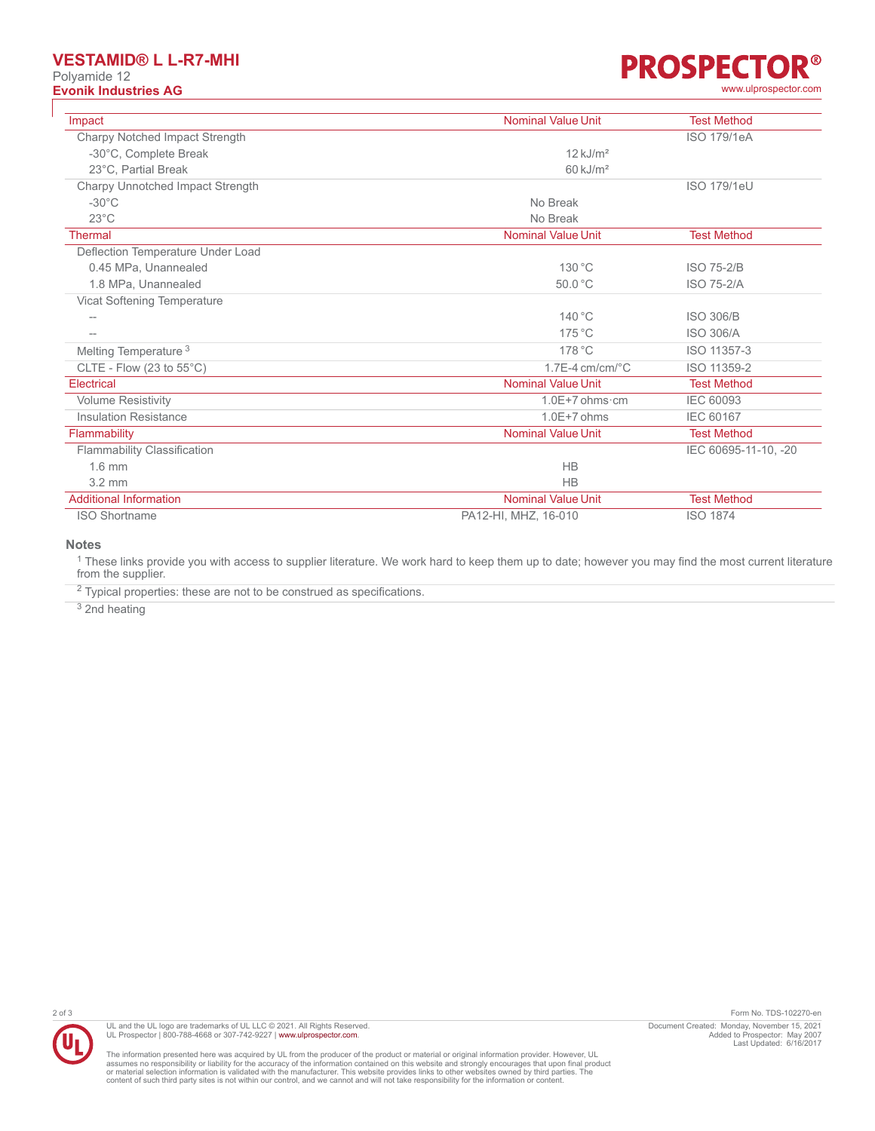# **VESTAMID® L L-R7-MHI**

Polyamide 12

## **R® PROSPECTO Evonik Industries AG** [www.ulprospector.com](http://www.ulprospector.com)

| Impact                             | <b>Nominal Value Unit</b> | <b>Test Method</b>   |
|------------------------------------|---------------------------|----------------------|
| Charpy Notched Impact Strength     |                           | <b>ISO 179/1eA</b>   |
| -30°C, Complete Break              | $12$ kJ/m <sup>2</sup>    |                      |
| 23°C. Partial Break                | $60 \mathrm{kJ/m^2}$      |                      |
| Charpy Unnotched Impact Strength   |                           | ISO 179/1eU          |
| $-30^{\circ}$ C                    | No Break                  |                      |
| $23^{\circ}$ C                     | No Break                  |                      |
| <b>Thermal</b>                     | <b>Nominal Value Unit</b> | <b>Test Method</b>   |
| Deflection Temperature Under Load  |                           |                      |
| 0.45 MPa, Unannealed               | 130 °C                    | <b>ISO 75-2/B</b>    |
| 1.8 MPa, Unannealed                | 50.0 °C                   | <b>ISO 75-2/A</b>    |
| Vicat Softening Temperature        |                           |                      |
| $\qquad \qquad -$                  | $140^{\circ}$ C           | <b>ISO 306/B</b>     |
| $\overline{\phantom{a}}$           | $175^{\circ}$ C           | <b>ISO 306/A</b>     |
| Melting Temperature <sup>3</sup>   | 178 °C                    | ISO 11357-3          |
| CLTE - Flow (23 to $55^{\circ}$ C) | $1.7E-4$ cm/cm/ $°C$      | ISO 11359-2          |
| Electrical                         | <b>Nominal Value Unit</b> | <b>Test Method</b>   |
| <b>Volume Resistivity</b>          | $1.0E+7$ ohms $\cdot$ cm  | <b>IEC 60093</b>     |
| <b>Insulation Resistance</b>       | $1.0E+7$ ohms             | <b>IEC 60167</b>     |
| Flammability                       | <b>Nominal Value Unit</b> | <b>Test Method</b>   |
| <b>Flammability Classification</b> |                           | IEC 60695-11-10, -20 |
| $1.6$ mm                           | <b>HB</b>                 |                      |
| $3.2 \text{ mm}$                   | <b>HB</b>                 |                      |
| <b>Additional Information</b>      | <b>Nominal Value Unit</b> | <b>Test Method</b>   |
| <b>ISO Shortname</b>               | PA12-HI, MHZ, 16-010      | <b>ISO 1874</b>      |

### **Notes**

<sup>1</sup> These links provide you with access to supplier literature. We work hard to keep them up to date; however you may find the most current literature from the supplier.

 $2$  Typical properties: these are not to be construed as specifications.

<sup>3</sup> 2nd heating



UL and the UL logo are trademarks of UL LLC © 2021. All Rights Reserved.<br>UL Prospector | 800-788-4668 or 307-742-9227 | [www.ulprospector.com](http://www.ulprospector.com).

2 of 3 Form No. TDS-102270-en Document Created: Monday, November 15, 2021 Added to Prospector: May 2007 Last Updated: 6/16/2017

The information presented here was acquired by UL from the producer of the product or material or original information provider. However, UL<br>assumes no responsibility or liability for the accuracy of the information contai